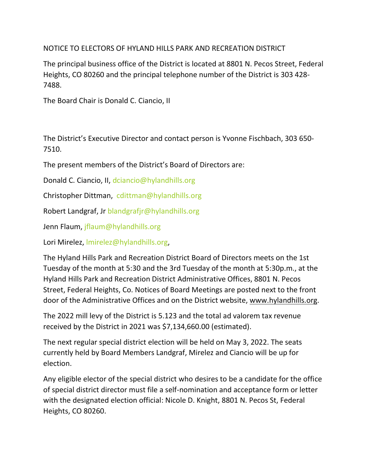NOTICE TO ELECTORS OF HYLAND HILLS PARK AND RECREATION DISTRICT

The principal business office of the District is located at 8801 N. Pecos Street, Federal Heights, CO 80260 and the principal telephone number of the District is 303 428- 7488.

The Board Chair is Donald C. Ciancio, II

The District's Executive Director and contact person is Yvonne Fischbach, 303 650- 7510.

The present members of the District's Board of Directors are:

Donald C. Ciancio, II, [dciancio@hylandhills.org](mailto:dciancio@hylandhills.org)

Christopher Dittman, [cdittman@hylandhills.org](mailto:cdittman@hylandhills.org)

Robert Landgraf, Jr [blandgrafjr@hylandhills.org](mailto:blandgraf@hylandhills.org)

Jenn Flaum, [jflaum@hylandhills.org](mailto:jflaum@hylandhills.org)

Lori Mirelez, [lmirelez@hylandhills.org,](mailto:lmirelez@hylandhills.org)

The Hyland Hills Park and Recreation District Board of Directors meets on the 1st Tuesday of the month at 5:30 and the 3rd Tuesday of the month at 5:30p.m., at the Hyland Hills Park and Recreation District Administrative Offices, 8801 N. Pecos Street, Federal Heights, Co. Notices of Board Meetings are posted next to the front door of the Administrative Offices and on the District website, www.hylandhills.org.

The 2022 mill levy of the District is 5.123 and the total ad valorem tax revenue received by the District in 2021 was \$7,134,660.00 (estimated).

The next regular special district election will be held on May 3, 2022. The seats currently held by Board Members Landgraf, Mirelez and Ciancio will be up for election.

Any eligible elector of the special district who desires to be a candidate for the office of special district director must file a self-nomination and acceptance form or letter with the designated election official: Nicole D. Knight, 8801 N. Pecos St, Federal Heights, CO 80260.